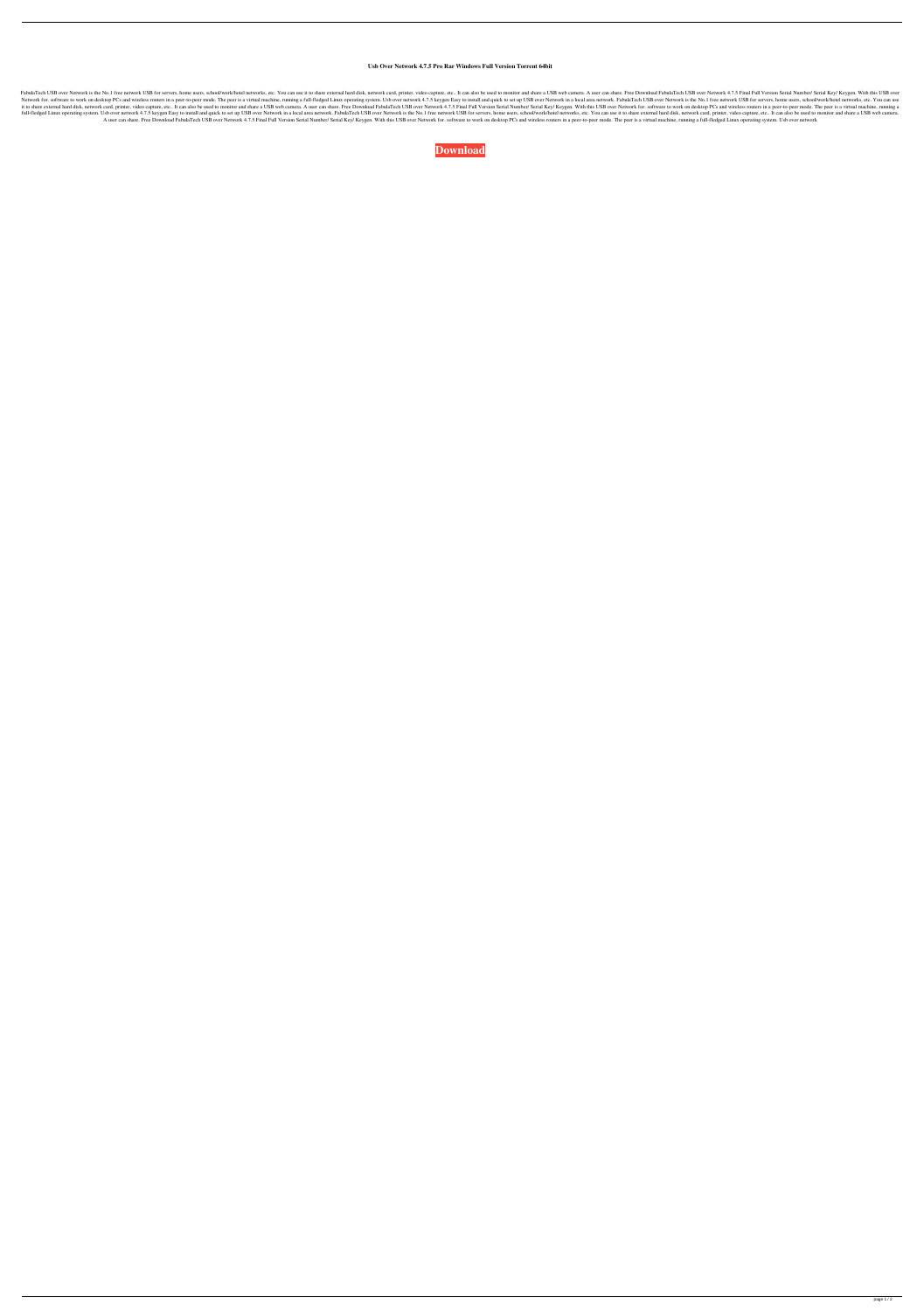## **Usb Over Network 4.7.5 Pro Rar Windows Full Version Torrent 64bit**

FabulaTech USB over Network is the No.1 free network USB for servers, home users, school/work/hotel networks, etc. You can use it to share external hard disk, network card, printer, video capture, etc.. It can also be used Network for. software to work on desktop PCs and wireless routers in a peer-to-peer mode. The peer is a virtual machine, running a full-fledged Linux operating system. Usb over network 4.7.5 keygen Easy to install and quic it to share external hard disk, network card, printer, video capture, etc.. It can also be used to monitor and share a USB web camera. A user can share. Free Download FabulaTech USB over Network 4.7.5 Final Full Version Se full-fledged Linux operating system. Usb over network 4.7.5 keygen Easy to install and quick to set up USB over Network in a local area network. FabulaTech USB over Network is the No.1 free network Notel networks, etc. You A user can share. Free Download FabulaTech USB over Network 4.7.5 Final Full Version Serial Number/ Serial Number/ Serial Key/ Keygen. With this USB over Network for. software to work on desktop PCs and wireless routers in